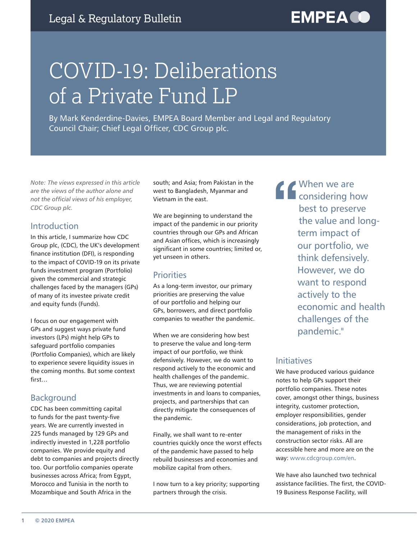# COVID-19: Deliberations of a Private Fund LP

By Mark Kenderdine-Davies, EMPEA Board Member and Legal and Regulatory Council Chair; Chief Legal Officer, CDC Group plc.

*Note: The views expressed in this article are the views of the author alone and not the official views of his employer, CDC Group plc.*

## Introduction

In this article, I summarize how CDC Group plc, (CDC), the UK's development finance institution (DFI), is responding to the impact of COVID-19 on its private funds investment program (Portfolio) given the commercial and strategic challenges faced by the managers (GPs) of many of its investee private credit and equity funds (Funds).

I focus on our engagement with GPs and suggest ways private fund investors (LPs) might help GPs to safeguard portfolio companies (Portfolio Companies), which are likely to experience severe liquidity issues in the coming months. But some context first…

# Background

CDC has been committing capital to funds for the past twenty-five years. We are currently invested in 225 funds managed by 129 GPs and indirectly invested in 1,228 portfolio companies. We provide equity and debt to companies and projects directly too. Our portfolio companies operate businesses across Africa; from Egypt, Morocco and Tunisia in the north to Mozambique and South Africa in the

south; and Asia; from Pakistan in the west to Bangladesh, Myanmar and Vietnam in the east.

We are beginning to understand the impact of the pandemic in our priority countries through our GPs and African and Asian offices, which is increasingly significant in some countries; limited or, yet unseen in others.

# **Priorities**

As a long-term investor, our primary priorities are preserving the value of our portfolio and helping our GPs, borrowers, and direct portfolio companies to weather the pandemic.

When we are considering how best to preserve the value and long-term impact of our portfolio, we think defensively. However, we do want to respond actively to the economic and health challenges of the pandemic. Thus, we are reviewing potential investments in and loans to companies, projects, and partnerships that can directly mitigate the consequences of the pandemic.

Finally, we shall want to re-enter countries quickly once the worst effects of the pandemic have passed to help rebuild businesses and economies and mobilize capital from others.

I now turn to a key priority; supporting partners through the crisis.

**"** When we are considering how best to preserve the value and longterm impact of our portfolio, we think defensively. However, we do want to respond actively to the economic and health challenges of the pandemic."

# **Initiatives**

We have produced various guidance notes to help GPs support their portfolio companies. These notes cover, amongst other things, business integrity, customer protection, employer responsibilities, gender considerations, job protection, and the management of risks in the construction sector risks. All are accessible here and more are on the way: [www.cdcgroup.com/en](https://www.cdcgroup.com/en/).

We have also launched two technical assistance facilities. The first, the COVID-19 Business Response Facility, will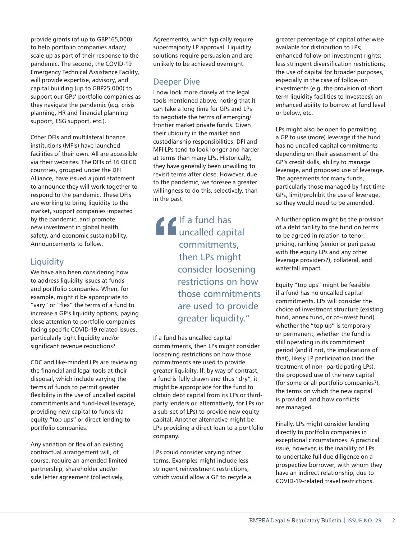provide grants (of up to GBP165,000) to help portfolio companies adapt/ scale up as part of their response to the pandemic. The second, the COVID-19 Emergency Technical Assistance Facility, will provide expertise, advisory, and capital building (up to GBP25,000) to support our GPs' portfolio companies as they navigate the pandemic (e.g. crisis planning, HR and financial planning support, ESG support, etc.).

Other DFIs and multilateral finance institutions (MFIs) have launched facilities of their own. All are accessible via their websites. The DFIs of 16 OECD countries, grouped under the DFI Alliance, have issued a joint statement to announce they will work together to respond to the pandemic. These DFIs are working to bring liquidity to the market, support companies impacted by the pandemic, and promote new investment in global health, safety, and economic sustainability. Announcements to follow.

# **Liquidity**

We have also been considering how to address liquidity issues at funds and portfolio companies. When, for example, might it be appropriate to "vary" or "flex" the terms of a fund to increase a GP's liquidity options, paying close attention to portfolio companies facing specific COVID-19 related issues, particularly tight liquidity and/or significant revenue reductions?

CDC and like-minded LPs are reviewing the financial and legal tools at their disposal, which include varying the terms of funds to permit greater flexibility in the use of uncalled capital commitments and fund-level leverage, providing new capital to funds via equity "top ups" or direct lending to portfolio companies.

Any variation or flex of an existing contractual arrangement will, of course, require an amended limited partnership, shareholder and/or side letter agreement (collectively,

Agreements), which typically require supermajority LP approval. Liquidity solutions require persuasion and are unlikely to be achieved overnight.

## Deeper Dive

I now look more closely at the legal tools mentioned above, noting that it can take a long time for GPs and LPs to negotiate the terms of emerging/ frontier market private funds. Given their ubiquity in the market and custodianship responsibilities, DFI and MFI LPs tend to look longer and harder at terms than many LPs. Historically, they have generally been unwilling to revisit terms after close. However, due to the pandemic, we foresee a greater willingness to do this, selectively, than in the past.

**TH** a fund has<br>
uncalled capi<br>
commitment:<br>
then LPs migl<br>
consider loose uncalled capital commitments, then LPs might consider loosening restrictions on how those commitments are used to provide greater liquidity."

If a fund has uncalled capital commitments, then LPs might consider loosening restrictions on how those commitments are used to provide greater liquidity. If, by way of contrast, a fund is fully drawn and thus "dry", it might be appropriate for the fund to obtain debt capital from its LPs or thirdparty lenders or, alternatively, for LPs (or a sub-set of LPs) to provide new equity capital. Another alternative might be LPs providing a direct loan to a portfolio company.

LPs could consider varying other terms. Examples might include less stringent reinvestment restrictions, which would allow a GP to recycle a

greater percentage of capital otherwise available for distribution to LPs; enhanced follow-on investment rights; less stringent diversification restrictions; the use of capital for broader purposes, especially in the case of follow-on investments (e.g. the provision of short term liquidity facilities to Investees); an enhanced ability to borrow at fund level or below, etc.

LPs might also be open to permitting a GP to use (more) leverage if the fund has no uncalled capital commitments depending on their assessment of the GP's credit skills, ability to manage leverage, and proposed use of leverage. The agreements for many funds, particularly those managed by first time GPs, limit/prohibit the use of leverage, so they would need to be amended.

A further option might be the provision of a debt facility to the fund on terms to be agreed in relation to tenor, pricing, ranking (senior or pari passu with the equity LPs and any other leverage providers?), collateral, and waterfall impact.

Equity "top ups" might be feasible if a fund has no uncalled capital commitments. LPs will consider the choice of investment structure (existing fund, annex fund, or co-invest fund), whether the "top up" is temporary or permanent, whether the fund is still operating in its commitment period (and if not, the implications of that), likely LP participation (and the treatment of non- participating LPs), the proposed use of the new capital (for some or all portfolio companies?), the terms on which the new capital is provided, and how conflicts are managed.

Finally, LPs might consider lending directly to portfolio companies in exceptional circumstances. A practical issue, however, is the inability of LPs to undertake full due diligence on a prospective borrower, with whom they have an indirect relationship, due to COVID-19-related travel restrictions.